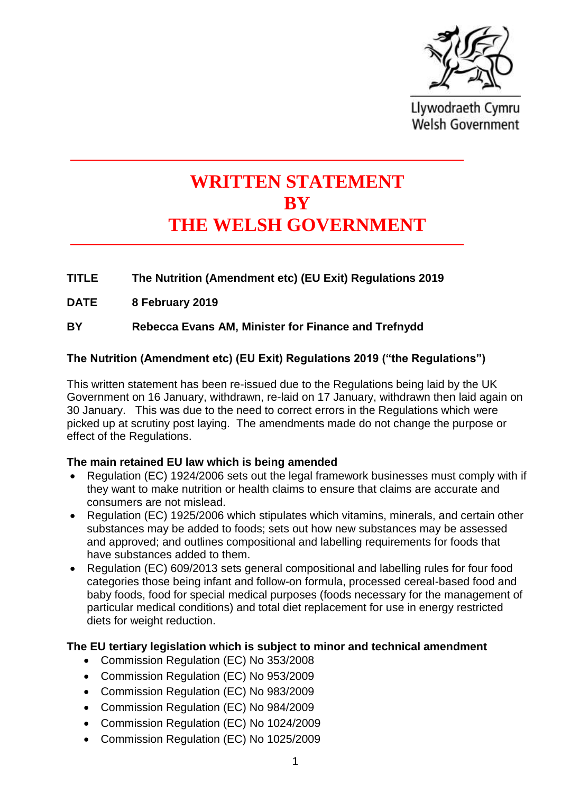

Llywodraeth Cymru **Welsh Government** 

# **WRITTEN STATEMENT BY THE WELSH GOVERNMENT**

# **TITLE The Nutrition (Amendment etc) (EU Exit) Regulations 2019**

- **DATE 8 February 2019**
- **BY Rebecca Evans AM, Minister for Finance and Trefnydd**

# **The Nutrition (Amendment etc) (EU Exit) Regulations 2019 ("the Regulations")**

This written statement has been re-issued due to the Regulations being laid by the UK Government on 16 January, withdrawn, re-laid on 17 January, withdrawn then laid again on 30 January. This was due to the need to correct errors in the Regulations which were picked up at scrutiny post laying. The amendments made do not change the purpose or effect of the Regulations.

### **The main retained EU law which is being amended**

- Regulation (EC) 1924/2006 sets out the legal framework businesses must comply with if they want to make nutrition or health claims to ensure that claims are accurate and consumers are not mislead.
- Regulation (EC) 1925/2006 which stipulates which vitamins, minerals, and certain other substances may be added to foods; sets out how new substances may be assessed and approved; and outlines compositional and labelling requirements for foods that have substances added to them.
- Regulation (EC) 609/2013 sets general compositional and labelling rules for four food categories those being infant and follow-on formula, processed cereal-based food and baby foods, food for special medical purposes (foods necessary for the management of particular medical conditions) and total diet replacement for use in energy restricted diets for weight reduction.

### **The EU tertiary legislation which is subject to minor and technical amendment**

- Commission Regulation (EC) No 353/2008
- Commission Regulation (EC) No 953/2009
- Commission Regulation (EC) No 983/2009
- Commission Regulation (EC) No 984/2009
- Commission Regulation (EC) No 1024/2009
- Commission Regulation (EC) No 1025/2009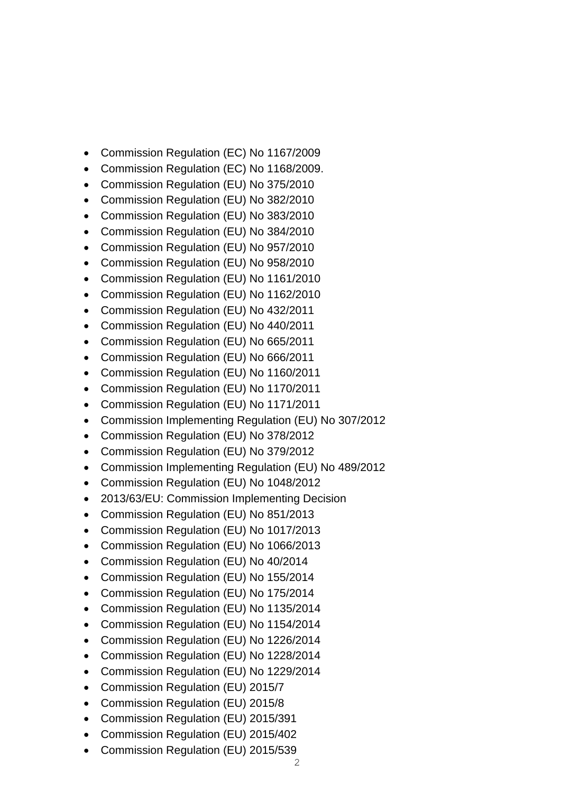- Commission Regulation (EC) No 1167/2009
- Commission Regulation (EC) No 1168/2009.
- Commission Regulation (EU) No 375/2010
- Commission Regulation (EU) No 382/2010
- Commission Regulation (EU) No 383/2010
- Commission Regulation (EU) No 384/2010
- Commission Regulation (EU) No 957/2010
- Commission Regulation (EU) No 958/2010
- Commission Regulation (EU) No 1161/2010
- Commission Regulation (EU) No 1162/2010
- Commission Regulation (EU) No 432/2011
- Commission Regulation (EU) No 440/2011
- Commission Regulation (EU) No 665/2011
- Commission Regulation (EU) No 666/2011
- Commission Regulation (EU) No 1160/2011
- Commission Regulation (EU) No 1170/2011
- Commission Regulation (EU) No 1171/2011
- Commission Implementing Regulation (EU) No 307/2012
- Commission Regulation (EU) No 378/2012
- Commission Regulation (EU) No 379/2012
- Commission Implementing Regulation (EU) No 489/2012
- Commission Regulation (EU) No 1048/2012
- 2013/63/EU: Commission Implementing Decision
- Commission Regulation (EU) No 851/2013
- Commission Regulation (EU) No 1017/2013
- Commission Regulation (EU) No 1066/2013
- Commission Regulation (EU) No 40/2014
- Commission Regulation (EU) No 155/2014
- Commission Regulation (EU) No 175/2014
- Commission Regulation (EU) No 1135/2014
- Commission Regulation (EU) No 1154/2014
- Commission Regulation (EU) No 1226/2014
- Commission Regulation (EU) No 1228/2014
- Commission Regulation (EU) No 1229/2014
- Commission Regulation (EU) 2015/7
- Commission Regulation (EU) 2015/8
- Commission Regulation (EU) 2015/391
- Commission Regulation (EU) 2015/402
- Commission Regulation (EU) 2015/539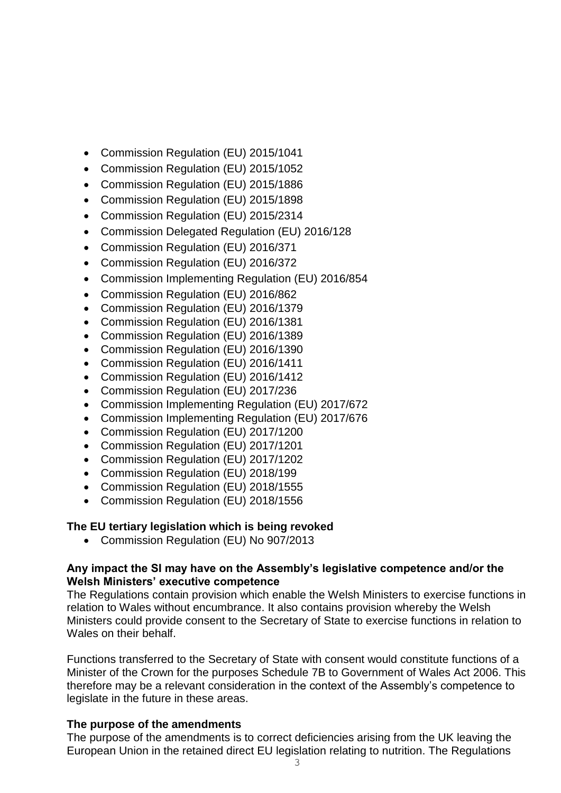- Commission Regulation (EU) 2015/1041
- Commission Regulation (EU) 2015/1052
- Commission Regulation (EU) 2015/1886
- Commission Regulation (EU) 2015/1898
- Commission Regulation (EU) 2015/2314
- Commission Delegated Regulation (EU) 2016/128
- Commission Regulation (EU) 2016/371
- Commission Regulation (EU) 2016/372
- Commission Implementing Regulation (EU) 2016/854
- Commission Regulation (EU) 2016/862
- Commission Regulation (EU) 2016/1379
- Commission Regulation (EU) 2016/1381
- Commission Regulation (EU) 2016/1389
- Commission Regulation (EU) 2016/1390
- Commission Regulation (EU) 2016/1411
- Commission Regulation (EU) 2016/1412
- Commission Regulation (EU) 2017/236
- Commission Implementing Regulation (EU) 2017/672
- Commission Implementing Regulation (EU) 2017/676
- Commission Regulation (EU) 2017/1200
- Commission Regulation (EU) 2017/1201
- Commission Regulation (EU) 2017/1202
- Commission Regulation (EU) 2018/199
- Commission Regulation (EU) 2018/1555
- Commission Regulation (EU) 2018/1556

### **The EU tertiary legislation which is being revoked**

• Commission Regulation (EU) No 907/2013

#### **Any impact the SI may have on the Assembly's legislative competence and/or the Welsh Ministers' executive competence**

The Regulations contain provision which enable the Welsh Ministers to exercise functions in relation to Wales without encumbrance. It also contains provision whereby the Welsh Ministers could provide consent to the Secretary of State to exercise functions in relation to Wales on their behalf.

Functions transferred to the Secretary of State with consent would constitute functions of a Minister of the Crown for the purposes Schedule 7B to Government of Wales Act 2006. This therefore may be a relevant consideration in the context of the Assembly's competence to legislate in the future in these areas.

### **The purpose of the amendments**

The purpose of the amendments is to correct deficiencies arising from the UK leaving the European Union in the retained direct EU legislation relating to nutrition. The Regulations